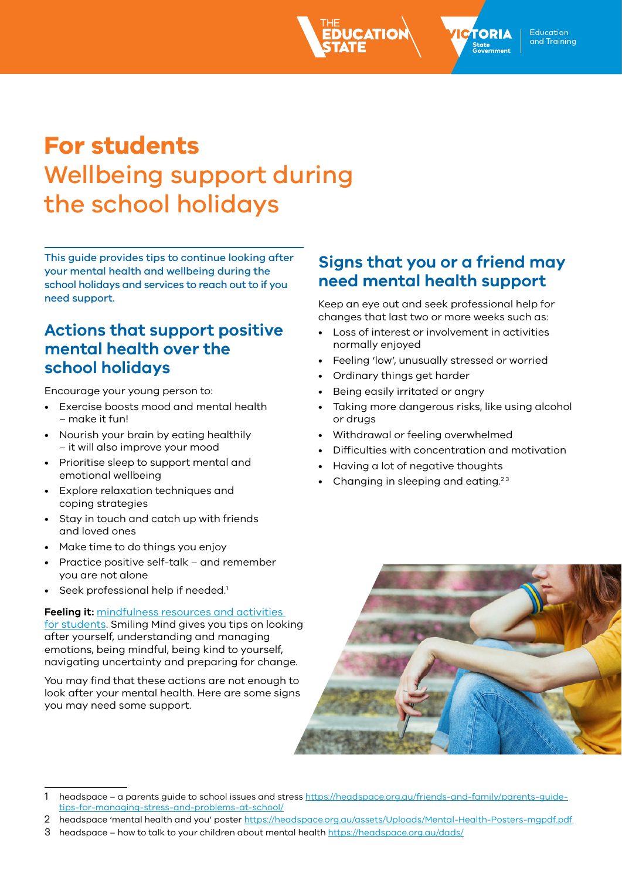# **For students**  Wellbeing support during the school holidays

This guide provides tips to continue looking after your mental health and wellbeing during the school holidays and services to reach out to if you need support.

# **Actions that support positive mental health over the school holidays**

Encourage your young person to:

- Exercise boosts mood and mental health – make it fun!
- Nourish your brain by eating healthily – it will also improve your mood
- Prioritise sleep to support mental and emotional wellbeing
- Explore relaxation techniques and coping strategies
- Stay in touch and catch up with friends and loved ones
- Make time to do things you enjoy
- Practice positive self-talk and remember you are not alone
- Seek professional help if needed.<sup>1</sup>

#### **Feeling it:** [mindfulness resources and activities](https://www.coronavirus.vic.gov.au/students)

[for students](https://www.coronavirus.vic.gov.au/students). Smiling Mind gives you tips on looking after yourself, understanding and managing emotions, being mindful, being kind to yourself, navigating uncertainty and preparing for change.

You may find that these actions are not enough to look after your mental health. Here are some signs you may need some support.

# **Signs that you or a friend may need mental health support**

Education

and Training

TORIA

Keep an eye out and seek professional help for changes that last two or more weeks such as:

- Loss of interest or involvement in activities normally enjoyed
- Feeling 'low', unusually stressed or worried
- Ordinary things get harder

**CATIO** 

- Being easily irritated or angry
- Taking more dangerous risks, like using alcohol or drugs
- Withdrawal or feeling overwhelmed
- Difficulties with concentration and motivation
- Having a lot of negative thoughts
- Changing in sleeping and eating.<sup>23</sup>



<sup>1</sup> headspace – a parents guide to school issues and stress [https://headspace.org.au/friends-and-family/parents-guide](https://headspace.org.au/friends-and-family/parents-guide-tips-for-managing-stress-and-problems-at-school/)[tips-for-managing-stress-and-problems-at-school/](https://headspace.org.au/friends-and-family/parents-guide-tips-for-managing-stress-and-problems-at-school/)

- 2 headspace 'mental health and you' poster https://headspace.org.au/assets/Uploads/Mental-Health-Posters-mapdf.pdf
- 3 headspace how to talk to your children about mental health<https://headspace.org.au/dads/>